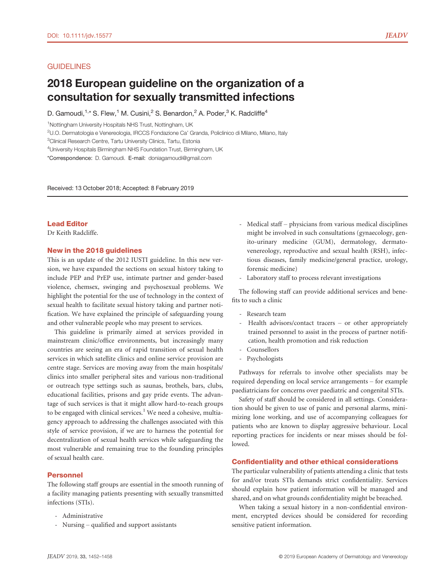## **GUIDELINES**

# 2018 European guideline on the organization of a consultation for sexually transmitted infections

D. Gamoudi,<sup>1,\*</sup> S. Flew,<sup>1</sup> M. Cusini,<sup>2</sup> S. Benardon,<sup>2</sup> A. Poder,<sup>3</sup> K. Radcliffe<sup>4</sup>

<sup>1</sup>Nottingham University Hospitals NHS Trust, Nottingham, UK

<sup>2</sup>U.O. Dermatologia e Venereologia, IRCCS Fondazione Ca' Granda, Policlinico di Milano, Milano, Italy

4 University Hospitals Birmingham NHS Foundation Trust, Birmingham, UK

\*Correspondence: D. Gamoudi. E-mail: [doniagamoudi@gmail.com](mailto:)

Received: 13 October 2018; Accepted: 8 February 2019

## Lead Editor

Dr Keith Radcliffe.

## New in the 2018 guidelines

This is an update of the 2012 IUSTI guideline. In this new version, we have expanded the sections on sexual history taking to include PEP and PrEP use, intimate partner and gender-based violence, chemsex, swinging and psychosexual problems. We highlight the potential for the use of technology in the context of sexual health to facilitate sexual history taking and partner notification. We have explained the principle of safeguarding young and other vulnerable people who may present to services.

This guideline is primarily aimed at services provided in mainstream clinic/office environments, but increasingly many countries are seeing an era of rapid transition of sexual health services in which satellite clinics and online service provision are centre stage. Services are moving away from the main hospitals/ clinics into smaller peripheral sites and various non-traditional or outreach type settings such as saunas, brothels, bars, clubs, educational facilities, prisons and gay pride events. The advantage of such services is that it might allow hard-to-reach groups to be engaged with clinical services.<sup>1</sup> We need a cohesive, multiagency approach to addressing the challenges associated with this style of service provision, if we are to harness the potential for decentralization of sexual health services while safeguarding the most vulnerable and remaining true to the founding principles of sexual health care.

## Personnel

The following staff groups are essential in the smooth running of a facility managing patients presenting with sexually transmitted infections (STIs).

- Administrative
- Nursing qualified and support assistants
- Medical staff physicians from various medical disciplines might be involved in such consultations (gynaecology, genito-urinary medicine (GUM), dermatology, dermatovenereology, reproductive and sexual health (RSH), infectious diseases, family medicine/general practice, urology, forensic medicine)
- Laboratory staff to process relevant investigations

The following staff can provide additional services and benefits to such a clinic

- Research team
- Health advisors/contact tracers or other appropriately trained personnel to assist in the process of partner notification, health promotion and risk reduction
- Counsellors
- Psychologists

Pathways for referrals to involve other specialists may be required depending on local service arrangements – for example paediatricians for concerns over paediatric and congenital STIs.

Safety of staff should be considered in all settings. Consideration should be given to use of panic and personal alarms, minimizing lone working, and use of accompanying colleagues for patients who are known to display aggressive behaviour. Local reporting practices for incidents or near misses should be followed.

#### Confidentiality and other ethical considerations

The particular vulnerability of patients attending a clinic that tests for and/or treats STIs demands strict confidentiality. Services should explain how patient information will be managed and shared, and on what grounds confidentiality might be breached.

When taking a sexual history in a non-confidential environment, encrypted devices should be considered for recording sensitive patient information.

<sup>&</sup>lt;sup>3</sup>Clinical Research Centre, Tartu University Clinics, Tartu, Estonia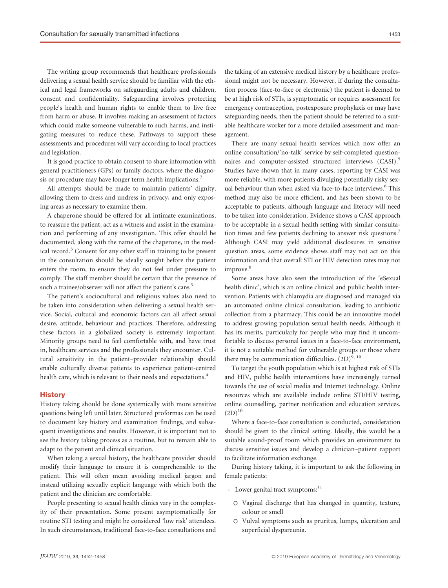The writing group recommends that healthcare professionals delivering a sexual health service should be familiar with the ethical and legal frameworks on safeguarding adults and children, consent and confidentiality. Safeguarding involves protecting people's health and human rights to enable them to live free from harm or abuse. It involves making an assessment of factors which could make someone vulnerable to such harms, and instigating measures to reduce these. Pathways to support these assessments and procedures will vary according to local practices and legislation.

It is good practice to obtain consent to share information with general practitioners (GPs) or family doctors, where the diagnosis or procedure may have longer term health implications.<sup>2</sup>

All attempts should be made to maintain patients' dignity, allowing them to dress and undress in privacy, and only exposing areas as necessary to examine them.

A chaperone should be offered for all intimate examinations, to reassure the patient, act as a witness and assist in the examination and performing of any investigation. This offer should be documented, along with the name of the chaperone, in the medical record.<sup>3</sup> Consent for any other staff in training to be present in the consultation should be ideally sought before the patient enters the room, to ensure they do not feel under pressure to comply. The staff member should be certain that the presence of such a trainee/observer will not affect the patient's care.<sup>3</sup>

The patient's sociocultural and religious values also need to be taken into consideration when delivering a sexual health service. Social, cultural and economic factors can all affect sexual desire, attitude, behaviour and practices. Therefore, addressing these factors in a globalized society is extremely important. Minority groups need to feel comfortable with, and have trust in, healthcare services and the professionals they encounter. Cultural sensitivity in the patient–provider relationship should enable culturally diverse patients to experience patient-centred health care, which is relevant to their needs and expectations.<sup>4</sup>

#### **History**

History taking should be done systemically with more sensitive questions being left until later. Structured proformas can be used to document key history and examination findings, and subsequent investigations and results. However, it is important not to see the history taking process as a routine, but to remain able to adapt to the patient and clinical situation.

When taking a sexual history, the healthcare provider should modify their language to ensure it is comprehensible to the patient. This will often mean avoiding medical jargon and instead utilizing sexually explicit language with which both the patient and the clinician are comfortable.

People presenting to sexual health clinics vary in the complexity of their presentation. Some present asymptomatically for routine STI testing and might be considered 'low risk' attendees. In such circumstances, traditional face-to-face consultations and

the taking of an extensive medical history by a healthcare professional might not be necessary. However, if during the consultation process (face-to-face or electronic) the patient is deemed to be at high risk of STIs, is symptomatic or requires assessment for emergency contraception, postexposure prophylaxis or may have safeguarding needs, then the patient should be referred to a suitable healthcare worker for a more detailed assessment and management.

There are many sexual health services which now offer an online consultation/'no-talk' service by self-completed questionnaires and computer-assisted structured interviews (CASI).<sup>5</sup> Studies have shown that in many cases, reporting by CASI was more reliable, with more patients divulging potentially risky sexual behaviour than when asked via face-to-face interviews.<sup>6</sup> This method may also be more efficient, and has been shown to be acceptable to patients, although language and literacy will need to be taken into consideration. Evidence shows a CASI approach to be acceptable in a sexual health setting with similar consultation times and few patients declining to answer risk questions.<sup>7</sup> Although CASI may yield additional disclosures in sensitive question areas, some evidence shows staff may not act on this information and that overall STI or HIV detection rates may not improve.<sup>8</sup>

Some areas have also seen the introduction of the 'eSexual health clinic', which is an online clinical and public health intervention. Patients with chlamydia are diagnosed and managed via an automated online clinical consultation, leading to antibiotic collection from a pharmacy. This could be an innovative model to address growing population sexual health needs. Although it has its merits, particularly for people who may find it uncomfortable to discuss personal issues in a face-to-face environment, it is not a suitable method for vulnerable groups or those where there may be communication difficulties.  $(2D)^{9, 10}$ 

To target the youth population which is at highest risk of STIs and HIV, public health interventions have increasingly turned towards the use of social media and Internet technology. Online resources which are available include online STI/HIV testing, online counselling, partner notification and education services.  $(2D)^{10}$ 

Where a face-to-face consultation is conducted, consideration should be given to the clinical setting. Ideally, this would be a suitable sound-proof room which provides an environment to discuss sensitive issues and develop a clinician–patient rapport to facilitate information exchange.

During history taking, it is important to ask the following in female patients:

- Lower genital tract symptoms:<sup>11</sup>
	- o Vaginal discharge that has changed in quantity, texture, colour or smell
	- o Vulval symptoms such as pruritus, lumps, ulceration and superficial dyspareunia.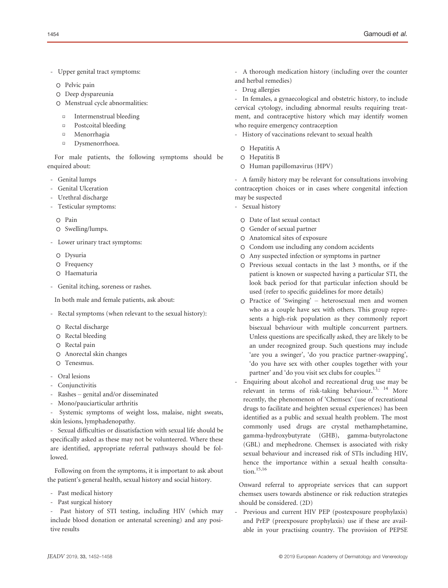- Upper genital tract symptoms:
	- o Pelvic pain
	- o Deep dyspareunia
	- o Menstrual cycle abnormalities:
		- $\Box$ Intermenstrual bleeding
		- $\Box$ Postcoital bleeding
		- $\Box$ Menorrhagia
		- $\overline{a}$ Dysmenorrhoea.

For male patients, the following symptoms should be enquired about:

- Genital lumps
- Genital Ulceration
- Urethral discharge
- Testicular symptoms:
	- o Pain
	- o Swelling/lumps.
- Lower urinary tract symptoms:
	- o Dysuria
	- o Frequency
	- o Haematuria
- Genital itching, soreness or rashes.

In both male and female patients, ask about:

- Rectal symptoms (when relevant to the sexual history):
	- o Rectal discharge
	- o Rectal bleeding
	- o Rectal pain
	- o Anorectal skin changes
	- o Tenesmus.
- Oral lesions
- Conjunctivitis
- Rashes genital and/or disseminated
- Mono/pauciarticular arthritis

Systemic symptoms of weight loss, malaise, night sweats, skin lesions, lymphadenopathy.

- Sexual difficulties or dissatisfaction with sexual life should be specifically asked as these may not be volunteered. Where these are identified, appropriate referral pathways should be followed.

Following on from the symptoms, it is important to ask about the patient's general health, sexual history and social history.

- Past medical history
- Past surgical history

- Past history of STI testing, including HIV (which may include blood donation or antenatal screening) and any positive results

- A thorough medication history (including over the counter and herbal remedies)
- Drug allergies

- In females, a gynaecological and obstetric history, to include cervical cytology, including abnormal results requiring treatment, and contraceptive history which may identify women who require emergency contraception

- History of vaccinations relevant to sexual health
	- o Hepatitis A
	- o Hepatitis B
	- o Human papillomavirus (HPV)

A family history may be relevant for consultations involving contraception choices or in cases where congenital infection may be suspected

- Sexual history
	- o Date of last sexual contact
	- o Gender of sexual partner
	- o Anatomical sites of exposure
	- o Condom use including any condom accidents
	- o Any suspected infection or symptoms in partner
	- o Previous sexual contacts in the last 3 months, or if the patient is known or suspected having a particular STI, the look back period for that particular infection should be used (refer to specific guidelines for more details)
	- o Practice of 'Swinging' heterosexual men and women who as a couple have sex with others. This group represents a high-risk population as they commonly report bisexual behaviour with multiple concurrent partners. Unless questions are specifically asked, they are likely to be an under recognized group. Such questions may include 'are you a swinger', 'do you practice partner-swapping', 'do you have sex with other couples together with your partner' and 'do you visit sex clubs for couples.<sup>12</sup>
- Enquiring about alcohol and recreational drug use may be relevant in terms of risk-taking behaviour.<sup>13, 14</sup> More recently, the phenomenon of 'Chemsex' (use of recreational drugs to facilitate and heighten sexual experiences) has been identified as a public and sexual health problem. The most commonly used drugs are crystal methamphetamine, gamma-hydroxybutyrate (GHB), gamma-butyrolactone (GBL) and mephedrone. Chemsex is associated with risky sexual behaviour and increased risk of STIs including HIV, hence the importance within a sexual health consultation.15,16

Onward referral to appropriate services that can support chemsex users towards abstinence or risk reduction strategies should be considered. (2D)

Previous and current HIV PEP (postexposure prophylaxis) and PrEP (preexposure prophylaxis) use if these are available in your practising country. The provision of PEPSE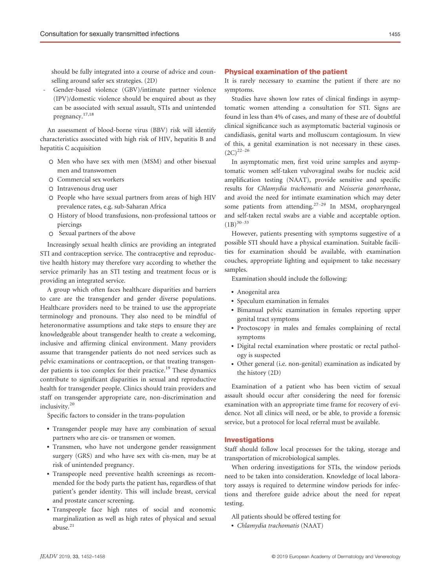should be fully integrated into a course of advice and counselling around safer sex strategies. (2D)

- Gender-based violence (GBV)/intimate partner violence (IPV)/domestic violence should be enquired about as they can be associated with sexual assault, STIs and unintended pregnancy.17,18

An assessment of blood-borne virus (BBV) risk will identify characteristics associated with high risk of HIV, hepatitis B and hepatitis C acquisition

- o Men who have sex with men (MSM) and other bisexual men and transwomen
- o Commercial sex workers
- o Intravenous drug user
- o People who have sexual partners from areas of high HIV prevalence rates, e.g. sub-Saharan Africa
- o History of blood transfusions, non-professional tattoos or piercings
- o Sexual partners of the above

Increasingly sexual health clinics are providing an integrated STI and contraception service. The contraceptive and reproductive health history may therefore vary according to whether the service primarily has an STI testing and treatment focus or is providing an integrated service.

A group which often faces healthcare disparities and barriers to care are the transgender and gender diverse populations. Healthcare providers need to be trained to use the appropriate terminology and pronouns. They also need to be mindful of heteronormative assumptions and take steps to ensure they are knowledgeable about transgender health to create a welcoming, inclusive and affirming clinical environment. Many providers assume that transgender patients do not need services such as pelvic examinations or contraception, or that treating transgender patients is too complex for their practice.<sup>19</sup> These dynamics contribute to significant disparities in sexual and reproductive health for transgender people. Clinics should train providers and staff on transgender appropriate care, non-discrimination and inclusivity.<sup>20</sup>

Specific factors to consider in the trans-population

- Transgender people may have any combination of sexual partners who are cis- or transmen or women.
- Transmen, who have not undergone gender reassignment surgery (GRS) and who have sex with cis-men, may be at risk of unintended pregnancy.
- Transpeople need preventive health screenings as recommended for the body parts the patient has, regardless of that patient's gender identity. This will include breast, cervical and prostate cancer screening.
- Transpeople face high rates of social and economic marginalization as well as high rates of physical and sexual abuse. $21$

#### Physical examination of the patient

It is rarely necessary to examine the patient if there are no symptoms.

Studies have shown low rates of clinical findings in asymptomatic women attending a consultation for STI. Signs are found in less than 4% of cases, and many of these are of doubtful clinical significance such as asymptomatic bacterial vaginosis or candidiasis, genital warts and molluscum contagiosum. In view of this, a genital examination is not necessary in these cases.  $(2C)^{22-26}$ 

In asymptomatic men, first void urine samples and asymptomatic women self-taken vulvovaginal swabs for nucleic acid amplification testing (NAAT), provide sensitive and specific results for Chlamydia trachomatis and Neisseria gonorrhoeae, and avoid the need for intimate examination which may deter some patients from attending.<sup>27-29</sup> In MSM, oropharyngeal and self-taken rectal swabs are a viable and acceptable option.  $(1B)^{30-33}$ 

However, patients presenting with symptoms suggestive of a possible STI should have a physical examination. Suitable facilities for examination should be available, with examination couches, appropriate lighting and equipment to take necessary samples.

Examination should include the following:

- Anogenital area
- Speculum examination in females
- Bimanual pelvic examination in females reporting upper genital tract symptoms
- Proctoscopy in males and females complaining of rectal symptoms
- Digital rectal examination where prostatic or rectal pathology is suspected
- Other general (i.e. non-genital) examination as indicated by the history (2D)

Examination of a patient who has been victim of sexual assault should occur after considering the need for forensic examination with an appropriate time frame for recovery of evidence. Not all clinics will need, or be able, to provide a forensic service, but a protocol for local referral must be available.

## Investigations

Staff should follow local processes for the taking, storage and transportation of microbiological samples.

When ordering investigations for STIs, the window periods need to be taken into consideration. Knowledge of local laboratory assays is required to determine window periods for infections and therefore guide advice about the need for repeat testing.

- All patients should be offered testing for
- Chlamydia trachomatis (NAAT)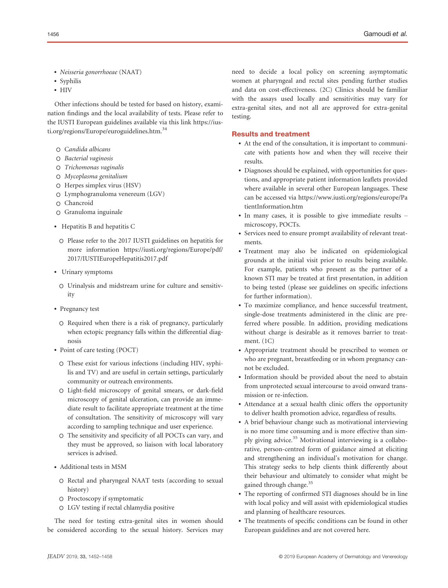- Neisseria gonorrhoeae (NAAT)
- Syphilis
- HIV

Other infections should be tested for based on history, examination findings and the local availability of tests. Please refer to the IUSTI European guidelines available via this link https://iusti.org/regions/Europe/euroguidelines.htm.<sup>34</sup>

- o Candida albicans
- o Bacterial vaginosis
- o Trichomonas vaginalis
- o Mycoplasma genitalium
- o Herpes simplex virus (HSV)
- o Lymphogranuloma venereum (LGV)
- o Chancroid
- o Granuloma inguinale
- Hepatitis B and hepatitis C
	- o Please refer to the 2017 IUSTI guidelines on hepatitis for more information [https://iusti.org/regions/Europe/pdf/](https://iusti.org/regions/Europe/pdf/2017/IUSTIEuropeHepatitis2017.pdf) [2017/IUSTIEuropeHepatitis2017.pdf](https://iusti.org/regions/Europe/pdf/2017/IUSTIEuropeHepatitis2017.pdf)
- Urinary symptoms
	- o Urinalysis and midstream urine for culture and sensitivity
- Pregnancy test
	- o Required when there is a risk of pregnancy, particularly when ectopic pregnancy falls within the differential diagnosis
- Point of care testing (POCT)
	- o These exist for various infections (including HIV, syphilis and TV) and are useful in certain settings, particularly community or outreach environments.
	- o Light-field microscopy of genital smears, or dark-field microscopy of genital ulceration, can provide an immediate result to facilitate appropriate treatment at the time of consultation. The sensitivity of microscopy will vary according to sampling technique and user experience.
	- o The sensitivity and specificity of all POCTs can vary, and they must be approved, so liaison with local laboratory services is advised.
- Additional tests in MSM
	- o Rectal and pharyngeal NAAT tests (according to sexual history)
	- o Proctoscopy if symptomatic
	- o LGV testing if rectal chlamydia positive

The need for testing extra-genital sites in women should be considered according to the sexual history. Services may need to decide a local policy on screening asymptomatic women at pharyngeal and rectal sites pending further studies and data on cost-effectiveness. (2C) Clinics should be familiar with the assays used locally and sensitivities may vary for extra-genital sites, and not all are approved for extra-genital testing.

## Results and treatment

- At the end of the consultation, it is important to communicate with patients how and when they will receive their results.
- Diagnoses should be explained, with opportunities for questions, and appropriate patient information leaflets provided where available in several other European languages. These can be accessed via [https://www.iusti.org/regions/europe/Pa](https://www.iusti.org/regions/europe/PatientInformation.htm) [tientInformation.htm](https://www.iusti.org/regions/europe/PatientInformation.htm)
- In many cases, it is possible to give immediate results microscopy, POCTs.
- Services need to ensure prompt availability of relevant treatments.
- Treatment may also be indicated on epidemiological grounds at the initial visit prior to results being available. For example, patients who present as the partner of a known STI may be treated at first presentation, in addition to being tested (please see guidelines on specific infections for further information).
- To maximize compliance, and hence successful treatment, single-dose treatments administered in the clinic are preferred where possible. In addition, providing medications without charge is desirable as it removes barrier to treatment. (1C)
- Appropriate treatment should be prescribed to women or who are pregnant, breastfeeding or in whom pregnancy cannot be excluded.
- Information should be provided about the need to abstain from unprotected sexual intercourse to avoid onward transmission or re-infection.
- Attendance at a sexual health clinic offers the opportunity to deliver health promotion advice, regardless of results.
- A brief behaviour change such as motivational interviewing is no more time consuming and is more effective than simply giving advice.<sup>35</sup> Motivational interviewing is a collaborative, person-centred form of guidance aimed at eliciting and strengthening an individual's motivation for change. This strategy seeks to help clients think differently about their behaviour and ultimately to consider what might be gained through change.<sup>35</sup>
- The reporting of confirmed STI diagnoses should be in line with local policy and will assist with epidemiological studies and planning of healthcare resources.
- The treatments of specific conditions can be found in other European guidelines and are not covered here.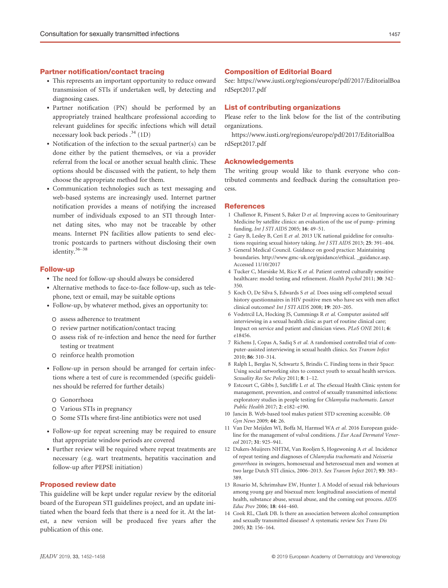## Partner notification/contact tracing

- This represents an important opportunity to reduce onward transmission of STIs if undertaken well, by detecting and diagnosing cases.
- Partner notification (PN) should be performed by an appropriately trained healthcare professional according to relevant guidelines for specific infections which will detail necessary look back periods  $.^{34}$  (1D)
- Notification of the infection to the sexual partner(s) can be done either by the patient themselves, or via a provider referral from the local or another sexual health clinic. These options should be discussed with the patient, to help them choose the appropriate method for them.
- Communication technologies such as text messaging and web-based systems are increasingly used. Internet partner notification provides a means of notifying the increased number of individuals exposed to an STI through Internet dating sites, who may not be traceable by other means. Internet PN facilities allow patients to send electronic postcards to partners without disclosing their own identity.36–<sup>38</sup>

#### Follow-up

- The need for follow-up should always be considered
- Alternative methods to face-to-face follow-up, such as telephone, text or email, may be suitable options
- Follow-up, by whatever method, gives an opportunity to:
- o assess adherence to treatment
- o review partner notification/contact tracing
- o assess risk of re-infection and hence the need for further testing or treatment
- o reinforce health promotion
- Follow-up in person should be arranged for certain infections where a test of cure is recommended (specific guidelines should be referred for further details)
	- o Gonorrhoea
	- o Various STIs in pregnancy
- o Some STIs where first-line antibiotics were not used
- Follow-up for repeat screening may be required to ensure that appropriate window periods are covered
- Further review will be required where repeat treatments are necessary (e.g. wart treatments, hepatitis vaccination and follow-up after PEPSE initiation)

#### Proposed review date

This guideline will be kept under regular review by the editorial board of the European STI guidelines project, and an update initiated when the board feels that there is a need for it. At the latest, a new version will be produced five years after the publication of this one.

## Composition of Editorial Board

See: [https://www.iusti.org/regions/europe/pdf/2017/EditorialBoa](https://www.iusti.org/regions/europe/pdf/2017/EditorialBoardSept2017.pdf) [rdSept2017.pdf](https://www.iusti.org/regions/europe/pdf/2017/EditorialBoardSept2017.pdf)

#### List of contributing organizations

Please refer to the link below for the list of the contributing organizations.

[https://www.iusti.org/regions/europe/pdf/2017/EditorialBoa](https://www.iusti.org/regions/europe/pdf/2017/EditorialBoardSept2017.pdf) [rdSept2017.pdf](https://www.iusti.org/regions/europe/pdf/2017/EditorialBoardSept2017.pdf)

#### Acknowledgements

The writing group would like to thank everyone who contributed comments and feedback during the consultation process.

#### **References**

- 1 Challenor R, Pinsent S, Baker D et al. Improving access to Genitourinary Medicine by satellite clinics: an evaluation of the use of pump- priming funding. Int J STI AIDS 2005; 16: 49–51.
- 2 Gary B, Lesley B, Ceri E et al. 2013 UK national guideline for consultations requiring sexual history taking. Int J STI AIDS 2013; 25: 391–404.
- 3 General Medical Council. Guidance on good practice: Maintaining boundaries. [http://www.gmc-uk.org/guidance/ethical.](http://www.gmc-uk.org/guidance/ethical) \_guidance.asp. Accessed 11/10/2017
- 4 Tucker C, Marsiske M, Rice K et al. Patient centred culturally sensitive healthcare: model testing and refinement. Health Psychol 2011; 30: 342– 350.
- 5 Koch O, De Silva S, Edwards S et al. Does using self-completed sexual history questionnaires in HIV positive men who have sex with men affect clinical outcomes? Int J STI AIDS 2008; 19: 203–205.
- 6 Vodstrcil LA, Hocking JS, Cummings R et al. Computer assisted self interviewing in a sexual health clinic as part of routine clinical care; Impact on service and patient and clinician views. PLoS ONE 2011; 6: e18456.
- 7 Richens J, Copas A, Sadiq S et al. A randomised controlled trial of computer-assisted interviewing in sexual health clinics. Sex Transm Infect 2010; 86: 310–314.
- 8 Ralph L, Berglas N, Schwartz S, Brindis C. Finding teens in their Space: Using social networking sites to connect youth to sexual health services. Sexuality Res Soc Policy 2011; 8: 1–12.
- 9 Estcourt C, Gibbs J, Sutcliffe L et al. The eSexual Health Clinic system for management, prevention, and control of sexually transmitted infections: exploratory studies in people testing for Chlamydia trachomatis. Lancet Public Health 2017; 2: e182–e190.
- 10 Jancin B. Web-based tool makes patient STD screening accessible. Ob Gyn News 2009; 44: 26.
- 11 Van Der Meijden WI, Boffa M, Harmsel WA et al. 2016 European guideline for the management of vulval conditions. J Eur Acad Dermatol Venereol 2017; 31: 925–941.
- 12 Dukers-Muijrers NHTM, Van Rooljen S, Hogewoning A et al. Incidence of repeat testing and diagnoses of Chlamydia trachomatis and Neisseria gonorrhoea in swingers, homosexual and heterosexual men and women at two large Dutch STI clinics, 2006–2013. Sex Transm Infect 2017; 93: 383– 389.
- 13 Rosario M, Schrimshaw EW, Hunter J. A Model of sexual risk behaviours among young gay and bisexual men: longitudinal associations of mental health, substance abuse, sexual abuse, and the coming out process. AIDS Educ Prev 2006; 18: 444–460.
- 14 Cook RL, Clark DB. Is there an association between alcohol consumption and sexually transmitted diseases? A systematic review Sex Trans Dis 2005; 32: 156–164.